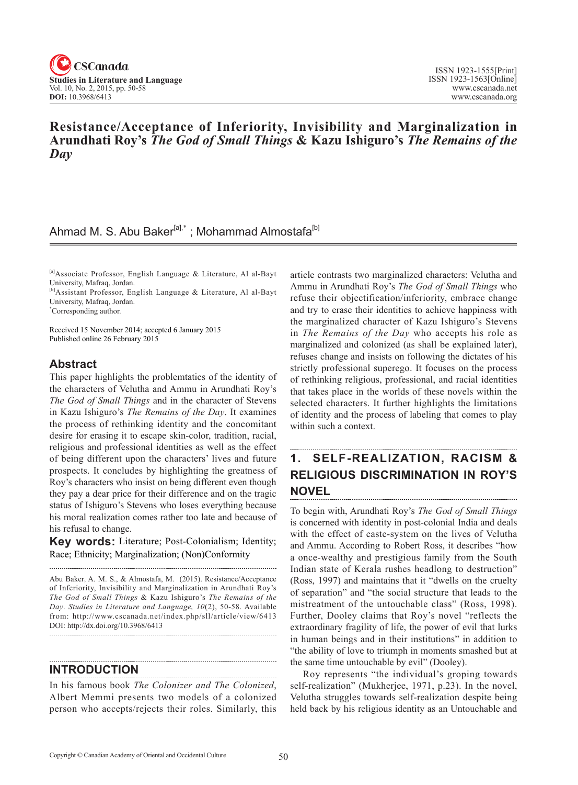

## **Resistance/Acceptance of Inferiority, Invisibility and Marginalization in Arundhati Roy's** *The God of Small Things* **& Kazu Ishiguro's** *The Remains of the Day*

# Ahmad M. S. Abu Baker<sup>[a],\*</sup> ; Mohammad Almostafa<sup>[b]</sup>

[a]Associate Professor, English Language & Literature, Al al-Bayt University, Mafraq, Jordan.

[b]Assistant Professor, English Language & Literature, Al al-Bayt University, Mafraq, Jordan.

\* Corresponding author.

Received 15 November 2014; accepted 6 January 2015 Published online 26 February 2015

### **Abstract**

This paper highlights the problemtatics of the identity of the characters of Velutha and Ammu in Arundhati Roy's *The God of Small Things* and in the character of Stevens in Kazu Ishiguro's *The Remains of the Day*. It examines the process of rethinking identity and the concomitant desire for erasing it to escape skin-color, tradition, racial, religious and professional identities as well as the effect of being different upon the characters' lives and future prospects. It concludes by highlighting the greatness of Roy's characters who insist on being different even though they pay a dear price for their difference and on the tragic status of Ishiguro's Stevens who loses everything because his moral realization comes rather too late and because of his refusal to change.

**Key words:** Literature; Post-Colonialism; Identity; Race; Ethnicity; Marginalization; (Non)Conformity

Abu Baker, A. M. S., & Almostafa, M. (2015). Resistance/Acceptance of Inferiority, Invisibility and Marginalization in Arundhati Roy's *The God of Small Things* & Kazu Ishiguro's *The Remains of the Day. Studies in Literature and Language, 10(2), 50-58. Available* from: http://www.cscanada.net/index.php/sll/article/view/6413 DOI: http://dx.doi.org/10.3968/6413 

### **INTRODUCTION**

In his famous book *The Colonizer and The Colonized*, Albert Memmi presents two models of a colonized person who accepts/rejects their roles. Similarly, this article contrasts two marginalized characters: Velutha and Ammu in Arundhati Roy's *The God of Small Things* who refuse their objectification/inferiority, embrace change and try to erase their identities to achieve happiness with the marginalized character of Kazu Ishiguro's Stevens in *The Remains of the Day* who accepts his role as marginalized and colonized (as shall be explained later), refuses change and insists on following the dictates of his strictly professional superego. It focuses on the process of rethinking religious, professional, and racial identities that takes place in the worlds of these novels within the selected characters. It further highlights the limitations of identity and the process of labeling that comes to play within such a context.

### **1. SELF-REALIZATION, RACISM & RELIGIOUS DISCRIMINATION IN ROY'S NOVEL**

To begin with, Arundhati Roy's *The God of Small Things* is concerned with identity in post-colonial India and deals with the effect of caste-system on the lives of Velutha and Ammu. According to Robert Ross, it describes "how a once-wealthy and prestigious family from the South Indian state of Kerala rushes headlong to destruction" (Ross, 1997) and maintains that it "dwells on the cruelty of separation" and "the social structure that leads to the mistreatment of the untouchable class" (Ross, 1998). Further, Dooley claims that Roy's novel "reflects the extraordinary fragility of life, the power of evil that lurks in human beings and in their institutions" in addition to "the ability of love to triumph in moments smashed but at the same time untouchable by evil" (Dooley).

Roy represents "the individual's groping towards self-realization" (Mukherjee, 1971, p.23). In the novel, Velutha struggles towards self-realization despite being held back by his religious identity as an Untouchable and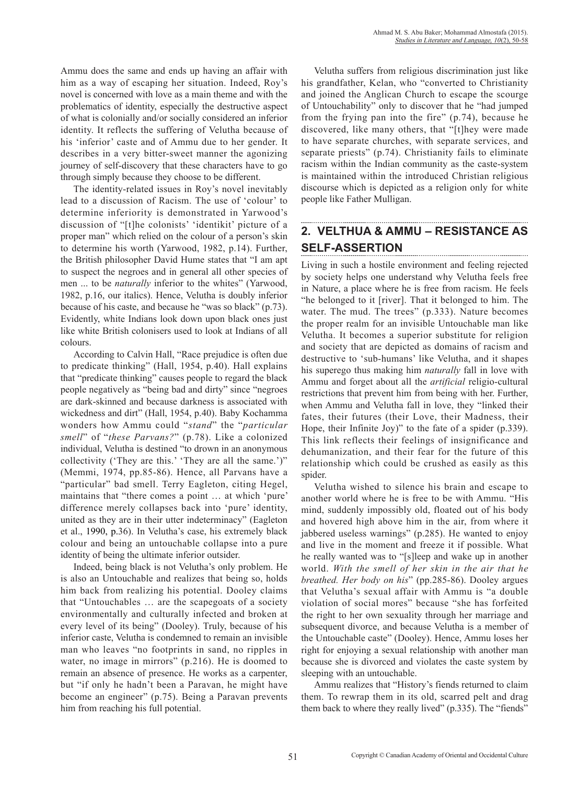Ammu does the same and ends up having an affair with him as a way of escaping her situation. Indeed, Roy's novel is concerned with love as a main theme and with the problematics of identity, especially the destructive aspect of what is colonially and/or socially considered an inferior identity. It reflects the suffering of Velutha because of his 'inferior' caste and of Ammu due to her gender. It describes in a very bitter-sweet manner the agonizing journey of self-discovery that these characters have to go through simply because they choose to be different.

The identity-related issues in Roy's novel inevitably lead to a discussion of Racism. The use of 'colour' to determine inferiority is demonstrated in Yarwood's discussion of "[t]he colonists' 'identikit' picture of a proper man" which relied on the colour of a person's skin to determine his worth (Yarwood, 1982, p.14). Further, the British philosopher David Hume states that "I am apt to suspect the negroes and in general all other species of men ... to be *naturally* inferior to the whites" (Yarwood, 1982, p.16, our italics). Hence, Velutha is doubly inferior because of his caste, and because he "was so black" (p.73). Evidently, white Indians look down upon black ones just like white British colonisers used to look at Indians of all colours.

According to Calvin Hall, "Race prejudice is often due to predicate thinking" (Hall, 1954, p.40). Hall explains that "predicate thinking" causes people to regard the black people negatively as "being bad and dirty" since "negroes are dark-skinned and because darkness is associated with wickedness and dirt" (Hall, 1954, p.40). Baby Kochamma wonders how Ammu could "*stand*" the "*particular smell*" of "*these Parvans?*" (p.78). Like a colonized individual, Velutha is destined "to drown in an anonymous collectivity ('They are this.' 'They are all the same.')" (Memmi, 1974, pp.85-86). Hence, all Parvans have a "particular" bad smell. Terry Eagleton, citing Hegel, maintains that "there comes a point … at which 'pure' difference merely collapses back into 'pure' identity, united as they are in their utter indeterminacy" (Eagleton et al., 1990, p.36). In Velutha's case, his extremely black colour and being an untouchable collapse into a pure identity of being the ultimate inferior outsider.

Indeed, being black is not Velutha's only problem. He is also an Untouchable and realizes that being so, holds him back from realizing his potential. Dooley claims that "Untouchables … are the scapegoats of a society environmentally and culturally infected and broken at every level of its being" (Dooley). Truly, because of his inferior caste, Velutha is condemned to remain an invisible man who leaves "no footprints in sand, no ripples in water, no image in mirrors" (p.216). He is doomed to remain an absence of presence. He works as a carpenter, but "if only he hadn't been a Paravan, he might have become an engineer" (p.75). Being a Paravan prevents him from reaching his full potential.

Velutha suffers from religious discrimination just like his grandfather, Kelan, who "converted to Christianity and joined the Anglican Church to escape the scourge of Untouchability" only to discover that he "had jumped from the frying pan into the fire" (p.74), because he discovered, like many others, that "[t]hey were made to have separate churches, with separate services, and separate priests" (p.74). Christianity fails to eliminate racism within the Indian community as the caste-system is maintained within the introduced Christian religious discourse which is depicted as a religion only for white people like Father Mulligan.

#### **2. VELTHUA & AMMU – RESISTANCE AS SELF-ASSERTION**

Living in such a hostile environment and feeling rejected by society helps one understand why Velutha feels free in Nature, a place where he is free from racism. He feels "he belonged to it [river]. That it belonged to him. The water. The mud. The trees" (p.333). Nature becomes the proper realm for an invisible Untouchable man like Velutha. It becomes a superior substitute for religion and society that are depicted as domains of racism and destructive to 'sub-humans' like Velutha, and it shapes his superego thus making him *naturally* fall in love with Ammu and forget about all the *artificial* religio-cultural restrictions that prevent him from being with her. Further, when Ammu and Velutha fall in love, they "linked their fates, their futures (their Love, their Madness, their Hope, their Infinite Joy)" to the fate of a spider (p.339). This link reflects their feelings of insignificance and dehumanization, and their fear for the future of this relationship which could be crushed as easily as this spider.

Velutha wished to silence his brain and escape to another world where he is free to be with Ammu. "His mind, suddenly impossibly old, floated out of his body and hovered high above him in the air, from where it jabbered useless warnings" (p.285). He wanted to enjoy and live in the moment and freeze it if possible. What he really wanted was to "[s]leep and wake up in another world. *With the smell of her skin in the air that he breathed. Her body on his*" (pp.285-86). Dooley argues that Velutha's sexual affair with Ammu is "a double violation of social mores" because "she has forfeited the right to her own sexuality through her marriage and subsequent divorce, and because Velutha is a member of the Untouchable caste" (Dooley). Hence, Ammu loses her right for enjoying a sexual relationship with another man because she is divorced and violates the caste system by sleeping with an untouchable.

Ammu realizes that "History's fiends returned to claim them. To rewrap them in its old, scarred pelt and drag them back to where they really lived" (p.335). The "fiends"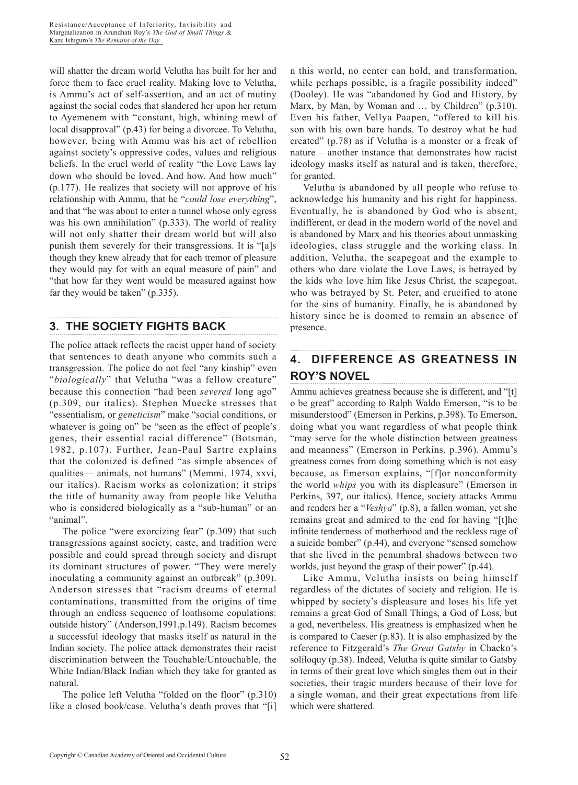will shatter the dream world Velutha has built for her and force them to face cruel reality. Making love to Velutha, is Ammu's act of self-assertion, and an act of mutiny against the social codes that slandered her upon her return to Ayemenem with "constant, high, whining mewl of local disapproval" (p.43) for being a divorcee. To Velutha, however, being with Ammu was his act of rebellion against society's oppressive codes, values and religious beliefs. In the cruel world of reality "the Love Laws lay down who should be loved. And how. And how much" (p.177). He realizes that society will not approve of his relationship with Ammu, that he "*could lose everything*", and that "he was about to enter a tunnel whose only egress was his own annihilation" (p.333). The world of reality will not only shatter their dream world but will also punish them severely for their transgressions. It is "[a]s though they knew already that for each tremor of pleasure they would pay for with an equal measure of pain" and "that how far they went would be measured against how far they would be taken" (p.335).

# **3. THE SOCIETY FIGHTS BACK**

The police attack reflects the racist upper hand of society that sentences to death anyone who commits such a transgression. The police do not feel "any kinship" even "*biologically*" that Velutha "was a fellow creature" because this connection "had been *severed* long ago" (p.309, our italics). Stephen Muecke stresses that "essentialism, or *geneticism*" make "social conditions, or whatever is going on" be "seen as the effect of people's genes, their essential racial difference" (Botsman, 1982, p.107). Further, Jean-Paul Sartre explains that the colonized is defined "as simple absences of qualities— animals, not humans" (Memmi, 1974, xxvi, our italics). Racism works as colonization; it strips the title of humanity away from people like Velutha who is considered biologically as a "sub-human" or an "animal".

The police "were exorcizing fear" (p.309) that such transgressions against society, caste, and tradition were possible and could spread through society and disrupt its dominant structures of power. "They were merely inoculating a community against an outbreak" (p.309). Anderson stresses that "racism dreams of eternal contaminations, transmitted from the origins of time through an endless sequence of loathsome copulations: outside history" (Anderson,1991,p.149). Racism becomes a successful ideology that masks itself as natural in the Indian society. The police attack demonstrates their racist discrimination between the Touchable/Untouchable, the White Indian/Black Indian which they take for granted as natural.

The police left Velutha "folded on the floor" (p.310) like a closed book/case. Velutha's death proves that "[i] n this world, no center can hold, and transformation, while perhaps possible, is a fragile possibility indeed" (Dooley). He was "abandoned by God and History, by Marx, by Man, by Woman and ... by Children" (p.310). Even his father, Vellya Paapen, "offered to kill his son with his own bare hands. To destroy what he had created" (p.78) as if Velutha is a monster or a freak of nature – another instance that demonstrates how racist ideology masks itself as natural and is taken, therefore, for granted.

Velutha is abandoned by all people who refuse to acknowledge his humanity and his right for happiness. Eventually, he is abandoned by God who is absent, indifferent, or dead in the modern world of the novel and is abandoned by Marx and his theories about unmasking ideologies, class struggle and the working class. In addition, Velutha, the scapegoat and the example to others who dare violate the Love Laws, is betrayed by the kids who love him like Jesus Christ, the scapegoat, who was betrayed by St. Peter, and crucified to atone for the sins of humanity. Finally, he is abandoned by history since he is doomed to remain an absence of presence.

#### **4. DIFFERENCE AS GREATNESS IN ROY'S NOVEL**

Ammu achieves greatness because she is different, and "[t] o be great" according to Ralph Waldo Emerson, "is to be misunderstood" (Emerson in Perkins, p.398). To Emerson, doing what you want regardless of what people think "may serve for the whole distinction between greatness and meanness" (Emerson in Perkins, p.396). Ammu's greatness comes from doing something which is not easy because, as Emerson explains, "[f]or nonconformity the world *whips* you with its displeasure" (Emerson in Perkins, 397, our italics). Hence, society attacks Ammu and renders her a "*Veshya*" (p.8), a fallen woman, yet she remains great and admired to the end for having "[t]he infinite tenderness of motherhood and the reckless rage of a suicide bomber" (p.44), and everyone "sensed somehow that she lived in the penumbral shadows between two worlds, just beyond the grasp of their power" (p.44).

Like Ammu, Velutha insists on being himself regardless of the dictates of society and religion. He is whipped by society's displeasure and loses his life yet remains a great God of Small Things, a God of Loss, but a god, nevertheless. His greatness is emphasized when he is compared to Caeser (p.83). It is also emphasized by the reference to Fitzgerald's *The Great Gatsby* in Chacko's soliloquy (p.38). Indeed, Velutha is quite similar to Gatsby in terms of their great love which singles them out in their societies, their tragic murders because of their love for a single woman, and their great expectations from life which were shattered.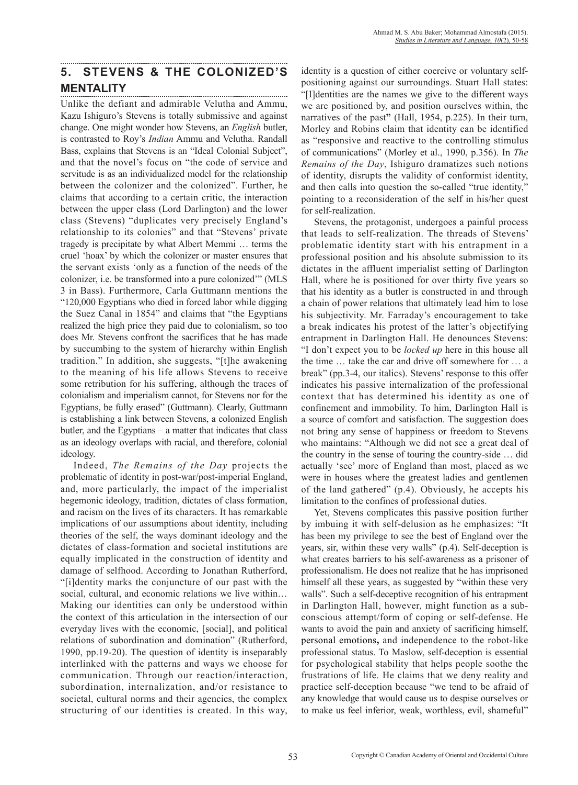# **5. STEVENS & THE COLONIZED'S MENTALITY**

Unlike the defiant and admirable Velutha and Ammu, Kazu Ishiguro's Stevens is totally submissive and against change. One might wonder how Stevens, an *English* butler, is contrasted to Roy's *Indian* Ammu and Velutha. Randall Bass, explains that Stevens is an "Ideal Colonial Subject", and that the novel's focus on "the code of service and servitude is as an individualized model for the relationship between the colonizer and the colonized". Further, he claims that according to a certain critic, the interaction between the upper class (Lord Darlington) and the lower class (Stevens) "duplicates very precisely England's relationship to its colonies" and that "Stevens' private tragedy is precipitate by what Albert Memmi … terms the cruel 'hoax' by which the colonizer or master ensures that the servant exists 'only as a function of the needs of the colonizer, i.e. be transformed into a pure colonized'" (MLS 3 in Bass). Furthermore, Carla Guttmann mentions the "120,000 Egyptians who died in forced labor while digging the Suez Canal in 1854" and claims that "the Egyptians realized the high price they paid due to colonialism, so too does Mr. Stevens confront the sacrifices that he has made by succumbing to the system of hierarchy within English tradition." In addition, she suggests, "[t]he awakening to the meaning of his life allows Stevens to receive some retribution for his suffering, although the traces of colonialism and imperialism cannot, for Stevens nor for the Egyptians, be fully erased" (Guttmann). Clearly, Guttmann is establishing a link between Stevens, a colonized English butler, and the Egyptians – a matter that indicates that class as an ideology overlaps with racial, and therefore, colonial ideology.

Indeed, *The Remains of the Day* projects the problematic of identity in post-war/post-imperial England, and, more particularly, the impact of the imperialist hegemonic ideology, tradition, dictates of class formation, and racism on the lives of its characters. It has remarkable implications of our assumptions about identity, including theories of the self, the ways dominant ideology and the dictates of class-formation and societal institutions are equally implicated in the construction of identity and damage of selfhood. According to Jonathan Rutherford, "[i]dentity marks the conjuncture of our past with the social, cultural, and economic relations we live within... Making our identities can only be understood within the context of this articulation in the intersection of our everyday lives with the economic, [social], and political relations of subordination and domination" (Rutherford, 1990, pp.19-20). The question of identity is inseparably interlinked with the patterns and ways we choose for communication. Through our reaction/interaction, subordination, internalization, and/or resistance to societal, cultural norms and their agencies, the complex structuring of our identities is created. In this way, identity is a question of either coercive or voluntary selfpositioning against our surroundings. Stuart Hall states: "[I]dentities are the names we give to the different ways we are positioned by, and position ourselves within, the narratives of the past**"** (Hall, 1954, p.225). In their turn, Morley and Robins claim that identity can be identified as "responsive and reactive to the controlling stimulus of communications" (Morley et al., 1990, p.356). In *The Remains of the Day*, Ishiguro dramatizes such notions of identity, disrupts the validity of conformist identity, and then calls into question the so-called "true identity," pointing to a reconsideration of the self in his/her quest for self-realization.

Stevens, the protagonist, undergoes a painful process that leads to self-realization. The threads of Stevens' problematic identity start with his entrapment in a professional position and his absolute submission to its dictates in the affluent imperialist setting of Darlington Hall, where he is positioned for over thirty five years so that his identity as a butler is constructed in and through a chain of power relations that ultimately lead him to lose his subjectivity. Mr. Farraday's encouragement to take a break indicates his protest of the latter's objectifying entrapment in Darlington Hall. He denounces Stevens: "I don't expect you to be *locked up* here in this house all the time … take the car and drive off somewhere for … a break" (pp.3-4, our italics). Stevens' response to this offer indicates his passive internalization of the professional context that has determined his identity as one of confinement and immobility. To him, Darlington Hall is a source of comfort and satisfaction. The suggestion does not bring any sense of happiness or freedom to Stevens who maintains: "Although we did not see a great deal of the country in the sense of touring the country-side … did actually 'see' more of England than most, placed as we were in houses where the greatest ladies and gentlemen of the land gathered" (p.4). Obviously, he accepts his limitation to the confines of professional duties.

Yet, Stevens complicates this passive position further by imbuing it with self-delusion as he emphasizes: "It has been my privilege to see the best of England over the years, sir, within these very walls" (p.4). Self-deception is what creates barriers to his self-awareness as a prisoner of professionalism. He does not realize that he has imprisoned himself all these years, as suggested by "within these very walls". Such a self-deceptive recognition of his entrapment in Darlington Hall, however, might function as a subconscious attempt/form of coping or self-defense. He wants to avoid the pain and anxiety of sacrificing himself, personal emotions**,** and independence to the robot-like professional status. To Maslow, self-deception is essential for psychological stability that helps people soothe the frustrations of life. He claims that we deny reality and practice self-deception because "we tend to be afraid of any knowledge that would cause us to despise ourselves or to make us feel inferior, weak, worthless, evil, shameful"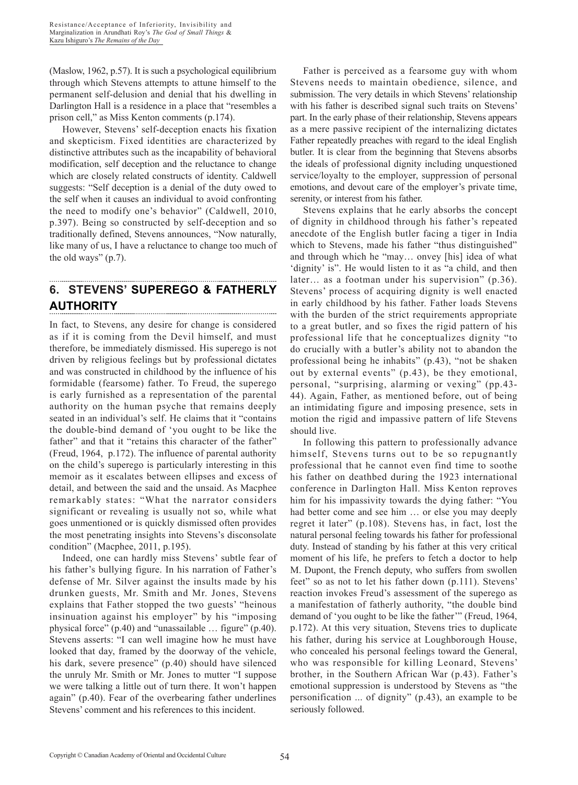(Maslow, 1962, p.57). It is such a psychological equilibrium through which Stevens attempts to attune himself to the permanent self-delusion and denial that his dwelling in Darlington Hall is a residence in a place that "resembles a prison cell," as Miss Kenton comments (p.174).

However, Stevens' self-deception enacts his fixation and skepticism. Fixed identities are characterized by distinctive attributes such as the incapability of behavioral modification, self deception and the reluctance to change which are closely related constructs of identity. Caldwell suggests: "Self deception is a denial of the duty owed to the self when it causes an individual to avoid confronting the need to modify one's behavior" (Caldwell, 2010, p.397). Being so constructed by self-deception and so traditionally defined, Stevens announces, "Now naturally, like many of us, I have a reluctance to change too much of the old ways" (p.7).

#### **6. STEVENS' SUPEREGO & FATHERLY AUTHORITY**

In fact, to Stevens, any desire for change is considered as if it is coming from the Devil himself, and must therefore, be immediately dismissed. His superego is not driven by religious feelings but by professional dictates and was constructed in childhood by the influence of his formidable (fearsome) father. To Freud, the superego is early furnished as a representation of the parental authority on the human psyche that remains deeply seated in an individual's self. He claims that it "contains the double-bind demand of 'you ought to be like the father" and that it "retains this character of the father" (Freud, 1964, p.172). The influence of parental authority on the child's superego is particularly interesting in this memoir as it escalates between ellipses and excess of detail, and between the said and the unsaid. As Macphee remarkably states: "What the narrator considers significant or revealing is usually not so, while what goes unmentioned or is quickly dismissed often provides the most penetrating insights into Stevens's disconsolate condition" (Macphee, 2011, p.195).

Indeed, one can hardly miss Stevens' subtle fear of his father's bullying figure. In his narration of Father's defense of Mr. Silver against the insults made by his drunken guests, Mr. Smith and Mr. Jones, Stevens explains that Father stopped the two guests' "heinous insinuation against his employer" by his "imposing physical force" (p.40) and "unassailable … figure" (p.40). Stevens asserts: "I can well imagine how he must have looked that day, framed by the doorway of the vehicle, his dark, severe presence" (p.40) should have silenced the unruly Mr. Smith or Mr. Jones to mutter "I suppose we were talking a little out of turn there. It won't happen again" (p.40). Fear of the overbearing father underlines Stevens' comment and his references to this incident.

Father is perceived as a fearsome guy with whom Stevens needs to maintain obedience, silence, and submission. The very details in which Stevens' relationship with his father is described signal such traits on Stevens' part. In the early phase of their relationship, Stevens appears as a mere passive recipient of the internalizing dictates Father repeatedly preaches with regard to the ideal English butler. It is clear from the beginning that Stevens absorbs the ideals of professional dignity including unquestioned service/loyalty to the employer, suppression of personal emotions, and devout care of the employer's private time, serenity, or interest from his father.

Stevens explains that he early absorbs the concept of dignity in childhood through his father's repeated anecdote of the English butler facing a tiger in India which to Stevens, made his father "thus distinguished" and through which he "may… onvey [his] idea of what 'dignity' is". He would listen to it as "a child, and then later… as a footman under his supervision" (p.36). Stevens' process of acquiring dignity is well enacted in early childhood by his father. Father loads Stevens with the burden of the strict requirements appropriate to a great butler, and so fixes the rigid pattern of his professional life that he conceptualizes dignity "to do crucially with a butler's ability not to abandon the professional being he inhabits" (p.43), "not be shaken out by external events" (p.43), be they emotional, personal, "surprising, alarming or vexing" (pp.43- 44). Again, Father, as mentioned before, out of being an intimidating figure and imposing presence, sets in motion the rigid and impassive pattern of life Stevens should live.

In following this pattern to professionally advance himself, Stevens turns out to be so repugnantly professional that he cannot even find time to soothe his father on deathbed during the 1923 international conference in Darlington Hall. Miss Kenton reproves him for his impassivity towards the dying father: "You had better come and see him … or else you may deeply regret it later" (p.108). Stevens has, in fact, lost the natural personal feeling towards his father for professional duty. Instead of standing by his father at this very critical moment of his life, he prefers to fetch a doctor to help M. Dupont, the French deputy, who suffers from swollen feet" so as not to let his father down (p.111). Stevens' reaction invokes Freud's assessment of the superego as a manifestation of fatherly authority, "the double bind demand of 'you ought to be like the father'" (Freud, 1964, p.172). At this very situation, Stevens tries to duplicate his father, during his service at Loughborough House, who concealed his personal feelings toward the General, who was responsible for killing Leonard, Stevens' brother, in the Southern African War (p.43). Father's emotional suppression is understood by Stevens as "the personification ... of dignity" (p.43), an example to be seriously followed.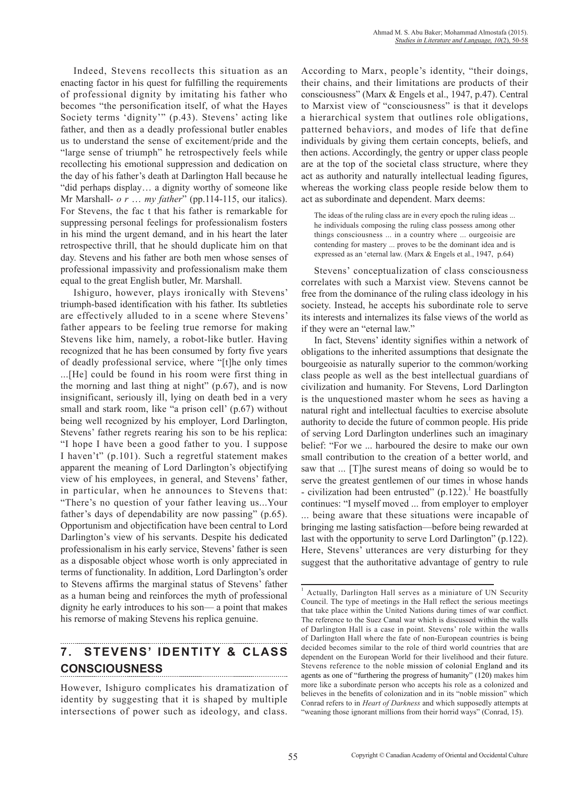Indeed, Stevens recollects this situation as an enacting factor in his quest for fulfilling the requirements of professional dignity by imitating his father who becomes "the personification itself, of what the Hayes Society terms 'dignity'" (p.43). Stevens' acting like father, and then as a deadly professional butler enables us to understand the sense of excitement/pride and the "large sense of triumph" he retrospectively feels while recollecting his emotional suppression and dedication on the day of his father's death at Darlington Hall because he "did perhaps display… a dignity worthy of someone like Mr Marshall- *o r* … *my father*" (pp.114-115, our italics). For Stevens, the fac t that his father is remarkable for suppressing personal feelings for professionalism fosters in his mind the urgent demand, and in his heart the later retrospective thrill, that he should duplicate him on that day. Stevens and his father are both men whose senses of professional impassivity and professionalism make them equal to the great English butler, Mr. Marshall.

Ishiguro, however, plays ironically with Stevens' triumph-based identification with his father. Its subtleties are effectively alluded to in a scene where Stevens' father appears to be feeling true remorse for making Stevens like him, namely, a robot-like butler. Having recognized that he has been consumed by forty five years of deadly professional service, where "[t]he only times ...[He] could be found in his room were first thing in the morning and last thing at night" (p.67), and is now insignificant, seriously ill, lying on death bed in a very small and stark room, like "a prison cell' (p.67) without being well recognized by his employer, Lord Darlington, Stevens' father regrets rearing his son to be his replica: "I hope I have been a good father to you. I suppose I haven't" (p.101). Such a regretful statement makes apparent the meaning of Lord Darlington's objectifying view of his employees, in general, and Stevens' father, in particular, when he announces to Stevens that: "There's no question of your father leaving us...Your father's days of dependability are now passing" (p.65). Opportunism and objectification have been central to Lord Darlington's view of his servants. Despite his dedicated professionalism in his early service, Stevens' father is seen as a disposable object whose worth is only appreciated in terms of functionality. In addition, Lord Darlington's order to Stevens affirms the marginal status of Stevens' father as a human being and reinforces the myth of professional dignity he early introduces to his son— a point that makes his remorse of making Stevens his replica genuine.

# **7. STEVENS' IDENTITY & CLASS CONSCIOUSNESS**

However, Ishiguro complicates his dramatization of identity by suggesting that it is shaped by multiple intersections of power such as ideology, and class. According to Marx, people's identity, "their doings, their chains, and their limitations are products of their consciousness" (Marx & Engels et al., 1947, p.47). Central to Marxist view of "consciousness" is that it develops a hierarchical system that outlines role obligations, patterned behaviors, and modes of life that define individuals by giving them certain concepts, beliefs, and then actions. Accordingly, the gentry or upper class people are at the top of the societal class structure, where they act as authority and naturally intellectual leading figures, whereas the working class people reside below them to act as subordinate and dependent. Marx deems:

The ideas of the ruling class are in every epoch the ruling ideas ... he individuals composing the ruling class possess among other things consciousness ... in a country where ... ourgeoisie are contending for mastery ... proves to be the dominant idea and is expressed as an 'eternal law. (Marx & Engels et al., 1947, p.64)

Stevens' conceptualization of class consciousness correlates with such a Marxist view. Stevens cannot be free from the dominance of the ruling class ideology in his society. Instead, he accepts his subordinate role to serve its interests and internalizes its false views of the world as if they were an "eternal law."

In fact, Stevens' identity signifies within a network of obligations to the inherited assumptions that designate the bourgeoisie as naturally superior to the common/working class people as well as the best intellectual guardians of civilization and humanity. For Stevens, Lord Darlington is the unquestioned master whom he sees as having a natural right and intellectual faculties to exercise absolute authority to decide the future of common people. His pride of serving Lord Darlington underlines such an imaginary belief: "For we ... harboured the desire to make our own small contribution to the creation of a better world, and saw that ... [T]he surest means of doing so would be to serve the greatest gentlemen of our times in whose hands - civilization had been entrusted"  $(p.122)$ .<sup>1</sup> He boastfully continues: "I myself moved ... from employer to employer ... being aware that these situations were incapable of bringing me lasting satisfaction—before being rewarded at last with the opportunity to serve Lord Darlington" (p.122). Here, Stevens' utterances are very disturbing for they suggest that the authoritative advantage of gentry to rule

<sup>1</sup> Actually, Darlington Hall serves as a miniature of UN Security Council. The type of meetings in the Hall reflect the serious meetings that take place within the United Nations during times of war conflict. The reference to the Suez Canal war which is discussed within the walls of Darlington Hall is a case in point. Stevens' role within the walls of Darlington Hall where the fate of non-European countries is being decided becomes similar to the role of third world countries that are dependent on the European World for their livelihood and their future. Stevens reference to the noble mission of colonial England and its agents as one of "furthering the progress of humanity" (120) makes him more like a subordinate person who accepts his role as a colonized and believes in the benefits of colonization and in its "noble mission" which Conrad refers to in *Heart of Darkness* and which supposedly attempts at "weaning those ignorant millions from their horrid ways" (Conrad, 15).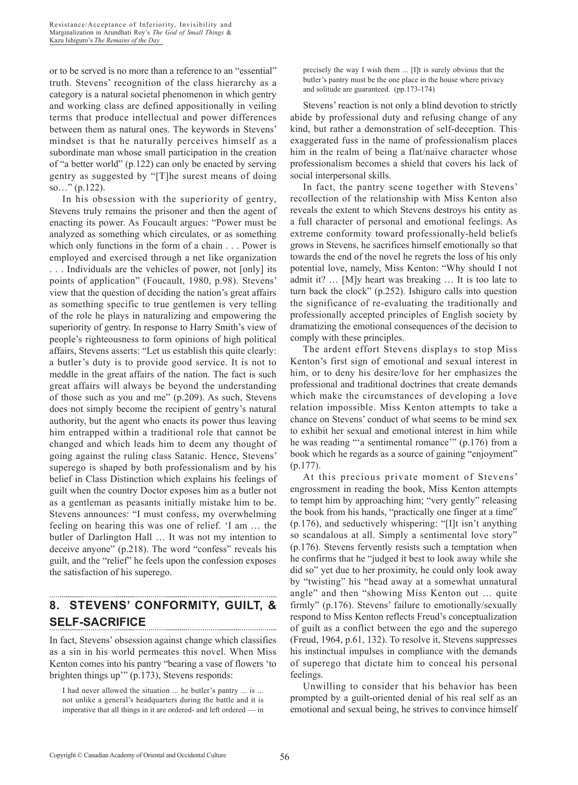or to be served is no more than a reference to an "essential" truth. Stevens' recognition of the class hierarchy as a category is a natural societal phenomenon in which gentry and working class are defined appositionally in veiling terms that produce intellectual and power differences between them as natural ones. The keywords in Stevens' mindset is that he naturally perceives himself as a subordinate man whose small participation in the creation of "a better world" (p.122) can only be enacted by serving gentry as suggested by "[T]he surest means of doing so…" (p.122).

In his obsession with the superiority of gentry, Stevens truly remains the prisoner and then the agent of enacting its power. As Foucault argues: "Power must be analyzed as something which circulates, or as something which only functions in the form of a chain . . . Power is employed and exercised through a net like organization . . . Individuals are the vehicles of power, not [only] its points of application" (Foucault, 1980, p.98). Stevens' view that the question of deciding the nation's great affairs as something specific to true gentlemen is very telling of the role he plays in naturalizing and empowering the superiority of gentry. In response to Harry Smith's view of people's righteousness to form opinions of high political affairs, Stevens asserts: "Let us establish this quite clearly: a butler's duty is to provide good service. It is not to meddle in the great affairs of the nation. The fact is such great affairs will always be beyond the understanding of those such as you and me" (p.209). As such, Stevens does not simply become the recipient of gentry's natural authority, but the agent who enacts its power thus leaving him entrapped within a traditional role that cannot be changed and which leads him to deem any thought of going against the ruling class Satanic. Hence, Stevens' superego is shaped by both professionalism and by his belief in Class Distinction which explains his feelings of guilt when the country Doctor exposes him as a butler not as a gentleman as peasants initially mistake him to be. Stevens announces: "I must confess, my overwhelming feeling on hearing this was one of relief. 'I am … the butler of Darlington Hall … It was not my intention to deceive anyone" (p.218). The word "confess" reveals his guilt, and the "relief" he feels upon the confession exposes the satisfaction of his superego.

# **8. STEVENS' CONFORMITY, GUILT, & SELF-SACRIFICE**

In fact, Stevens' obsession against change which classifies as a sin in his world permeates this novel. When Miss Kenton comes into his pantry "bearing a vase of flowers 'to brighten things up'" (p.173), Stevens responds:

precisely the way I wish them ... [I]t is surely obvious that the butler's pantry must be the one place in the house where privacy and solitude are guaranteed. (pp.173-174)

Stevens' reaction is not only a blind devotion to strictly abide by professional duty and refusing change of any kind, but rather a demonstration of self-deception. This exaggerated fuss in the name of professionalism places him in the realm of being a flat/naive character whose professionalism becomes a shield that covers his lack of social interpersonal skills.

In fact, the pantry scene together with Stevens' recollection of the relationship with Miss Kenton also reveals the extent to which Stevens destroys his entity as a full character of personal and emotional feelings. As extreme conformity toward professionally-held beliefs grows in Stevens, he sacrifices himself emotionally so that towards the end of the novel he regrets the loss of his only potential love, namely, Miss Kenton: "Why should I not admit it? … [M]y heart was breaking … It is too late to turn back the clock" (p.252). Ishiguro calls into question the significance of re-evaluating the traditionally and professionally accepted principles of English society by dramatizing the emotional consequences of the decision to comply with these principles.

The ardent effort Stevens displays to stop Miss Kenton's first sign of emotional and sexual interest in him, or to deny his desire/love for her emphasizes the professional and traditional doctrines that create demands which make the circumstances of developing a love relation impossible. Miss Kenton attempts to take a chance on Stevens' conduct of what seems to be mind sex to exhibit her sexual and emotional interest in him while he was reading ""a sentimental romance"" (p.176) from a book which he regards as a source of gaining "enjoyment" (p.177).

At this precious private moment of Stevens' engrossment in reading the book, Miss Kenton attempts to tempt him by approaching him; "very gently" releasing the book from his hands, "practically one finger at a time" (p.176), and seductively whispering: "[I]t isn't anything so scandalous at all. Simply a sentimental love story' (p.176). Stevens fervently resists such a temptation when he confirms that he "judged it best to look away while she did so" yet due to her proximity, he could only look away by "twisting" his "head away at a somewhat unnatural angle" and then "showing Miss Kenton out … quite firmly" (p.176). Stevens' failure to emotionally/sexually respond to Miss Kenton reflects Freud's conceptualization of guilt as a conflict between the ego and the superego (Freud, 1964, p.61, 132). To resolve it, Stevens suppresses his instinctual impulses in compliance with the demands of superego that dictate him to conceal his personal feelings.

Unwilling to consider that his behavior has been prompted by a guilt-oriented denial of his real self as an emotional and sexual being, he strives to convince himself

I had never allowed the situation ... he butler's pantry ... is ... not unlike a general's headquarters during the battle and it is imperative that all things in it are ordered- and left ordered — in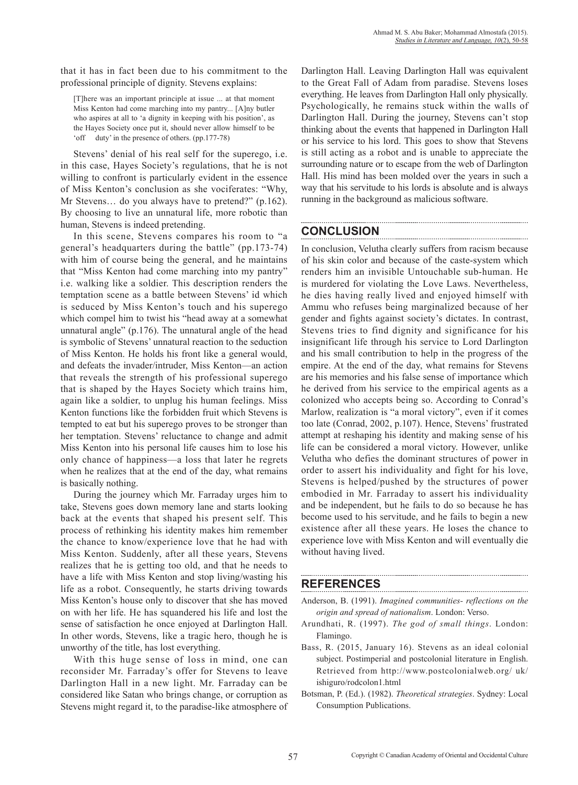that it has in fact been due to his commitment to the professional principle of dignity. Stevens explains:

[T]here was an important principle at issue ... at that moment Miss Kenton had come marching into my pantry... [A]ny butler who aspires at all to 'a dignity in keeping with his position', as the Hayes Society once put it, should never allow himself to be 'off duty' in the presence of others. (pp.177-78)

Stevens' denial of his real self for the superego, i.e. in this case, Hayes Society's regulations, that he is not willing to confront is particularly evident in the essence of Miss Kenton's conclusion as she vociferates: "Why, Mr Stevens... do you always have to pretend?" (p.162). By choosing to live an unnatural life, more robotic than human, Stevens is indeed pretending.

In this scene, Stevens compares his room to "a general's headquarters during the battle" (pp.173-74) with him of course being the general, and he maintains that "Miss Kenton had come marching into my pantry" i.e. walking like a soldier. This description renders the temptation scene as a battle between Stevens' id which is seduced by Miss Kenton's touch and his superego which compel him to twist his "head away at a somewhat unnatural angle" (p.176). The unnatural angle of the head is symbolic of Stevens' unnatural reaction to the seduction of Miss Kenton. He holds his front like a general would, and defeats the invader/intruder, Miss Kenton—an action that reveals the strength of his professional superego that is shaped by the Hayes Society which trains him, again like a soldier, to unplug his human feelings. Miss Kenton functions like the forbidden fruit which Stevens is tempted to eat but his superego proves to be stronger than her temptation. Stevens' reluctance to change and admit Miss Kenton into his personal life causes him to lose his only chance of happiness—a loss that later he regrets when he realizes that at the end of the day, what remains is basically nothing.

During the journey which Mr. Farraday urges him to take, Stevens goes down memory lane and starts looking back at the events that shaped his present self. This process of rethinking his identity makes him remember the chance to know/experience love that he had with Miss Kenton. Suddenly, after all these years, Stevens realizes that he is getting too old, and that he needs to have a life with Miss Kenton and stop living/wasting his life as a robot. Consequently, he starts driving towards Miss Kenton's house only to discover that she has moved on with her life. He has squandered his life and lost the sense of satisfaction he once enjoyed at Darlington Hall. In other words, Stevens, like a tragic hero, though he is unworthy of the title, has lost everything.

With this huge sense of loss in mind, one can reconsider Mr. Farraday's offer for Stevens to leave Darlington Hall in a new light. Mr. Farraday can be considered like Satan who brings change, or corruption as Stevens might regard it, to the paradise-like atmosphere of Darlington Hall. Leaving Darlington Hall was equivalent to the Great Fall of Adam from paradise. Stevens loses everything. He leaves from Darlington Hall only physically. Psychologically, he remains stuck within the walls of Darlington Hall. During the journey, Stevens can't stop thinking about the events that happened in Darlington Hall or his service to his lord. This goes to show that Stevens is still acting as a robot and is unable to appreciate the surrounding nature or to escape from the web of Darlington Hall. His mind has been molded over the years in such a way that his servitude to his lords is absolute and is always running in the background as malicious software.

## **CONCLUSION**

In conclusion, Velutha clearly suffers from racism because of his skin color and because of the caste-system which renders him an invisible Untouchable sub-human. He is murdered for violating the Love Laws. Nevertheless, he dies having really lived and enjoyed himself with Ammu who refuses being marginalized because of her gender and fights against society's dictates. In contrast, Stevens tries to find dignity and significance for his insignificant life through his service to Lord Darlington and his small contribution to help in the progress of the empire. At the end of the day, what remains for Stevens are his memories and his false sense of importance which he derived from his service to the empirical agents as a colonized who accepts being so. According to Conrad's Marlow, realization is "a moral victory", even if it comes too late (Conrad, 2002, p.107). Hence, Stevens' frustrated attempt at reshaping his identity and making sense of his life can be considered a moral victory. However, unlike Velutha who defies the dominant structures of power in order to assert his individuality and fight for his love, Stevens is helped/pushed by the structures of power embodied in Mr. Farraday to assert his individuality and be independent, but he fails to do so because he has become used to his servitude, and he fails to begin a new existence after all these years. He loses the chance to experience love with Miss Kenton and will eventually die without having lived.

## **REFERENCES**

- Anderson, B. (1991). *Imagined communities- reflections on the origin and spread of nationalism*. London: Verso.
- Arundhati, R. (1997). *The god of small things*. London: Flamingo.
- Bass, R. (2015, January 16). Stevens as an ideal colonial subject. Postimperial and postcolonial literature in English. Retrieved from http://www.postcolonialweb.org/ uk/ ishiguro/rodcolon1.html
- Botsman, P. (Ed.). (1982). *Theoretical strategies*. Sydney: Local Consumption Publications.